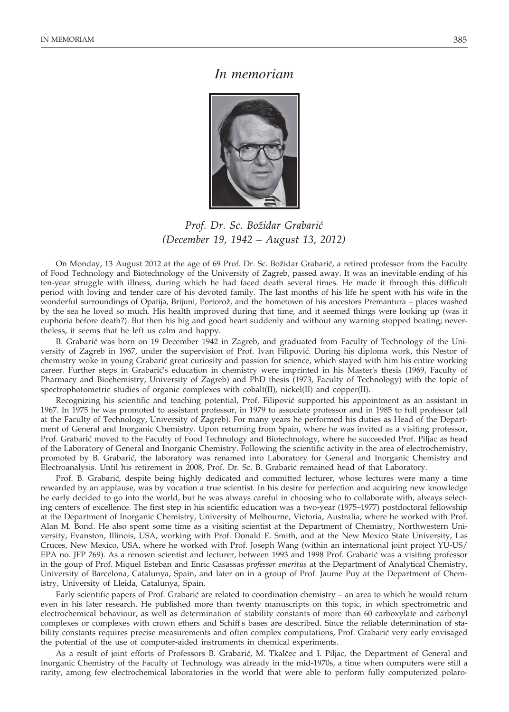## *In memoriam*



*Prof. Dr. Sc. Bo`idar Grabari} (December 19, 1942 – August 13, 2012)*

On Monday, 13 August 2012 at the age of 69 Prof. Dr. Sc. Božidar Grabarić, a retired professor from the Faculty of Food Technology and Biotechnology of the University of Zagreb, passed away. It was an inevitable ending of his ten-year struggle with illness, during which he had faced death several times. He made it through this difficult period with loving and tender care of his devoted family. The last months of his life he spent with his wife in the wonderful surroundings of Opatija, Brijuni, Portorož, and the hometown of his ancestors Premantura – places washed by the sea he loved so much. His health improved during that time, and it seemed things were looking up (was it euphoria before death?). But then his big and good heart suddenly and without any warning stopped beating; nevertheless, it seems that he left us calm and happy.

B. Grabarić was born on 19 December 1942 in Zagreb, and graduated from Faculty of Technology of the University of Zagreb in 1967, under the supervision of Prof. Ivan Filipović. During his diploma work, this Nestor of chemistry woke in young Grabarić great curiosity and passion for science, which stayed with him his entire working career. Further steps in Grabarić's education in chemistry were imprinted in his Master's thesis (1969, Faculty of Pharmacy and Biochemistry, University of Zagreb) and PhD thesis (1973, Faculty of Technology) with the topic of spectrophotometric studies of organic complexes with cobalt(II), nickel(II) and copper(II).

Recognizing his scientific and teaching potential, Prof. Filipović supported his appointment as an assistant in 1967. In 1975 he was promoted to assistant professor, in 1979 to associate professor and in 1985 to full professor (all at the Faculty of Technology, University of Zagreb). For many years he performed his duties as Head of the Department of General and Inorganic Chemistry. Upon returning from Spain, where he was invited as a visiting professor, Prof. Grabarić moved to the Faculty of Food Technology and Biotechnology, where he succeeded Prof. Piljac as head of the Laboratory of General and Inorganic Chemistry. Following the scientific activity in the area of electrochemistry, promoted by B. Grabarić, the laboratory was renamed into Laboratory for General and Inorganic Chemistry and Electroanalysis. Until his retirement in 2008, Prof. Dr. Sc. B. Grabarić remained head of that Laboratory.

Prof. B. Grabarić, despite being highly dedicated and committed lecturer, whose lectures were many a time rewarded by an applause, was by vocation a true scientist. In his desire for perfection and acquiring new knowledge he early decided to go into the world, but he was always careful in choosing who to collaborate with, always selecting centers of excellence. The first step in his scientific education was a two-year (1975–1977) postdoctoral fellowship at the Department of Inorganic Chemistry, University of Melbourne, Victoria, Australia, where he worked with Prof. Alan M. Bond. He also spent some time as a visiting scientist at the Department of Chemistry, Northwestern University, Evanston, Illinois, USA, working with Prof. Donald E. Smith, and at the New Mexico State University, Las Cruces, New Mexico, USA, where he worked with Prof. Joseph Wang (within an international joint project YU-US/ EPA no. JFP 769). As a renown scientist and lecturer, between 1993 and 1998 Prof. Grabarić was a visiting professor in the goup of Prof. Miquel Esteban and Enric Casassas *professor emeritus* at the Department of Analytical Chemistry, University of Barcelona, Catalunya, Spain, and later on in a group of Prof. Jaume Puy at the Department of Chemistry, University of Lleida, Catalunya, Spain.

Early scientific papers of Prof. Grabarić are related to coordination chemistry – an area to which he would return even in his later research. He published more than twenty manuscripts on this topic, in which spectrometric and electrochemical behaviour, as well as determination of stability constants of more than 60 carboxylate and carbonyl complexes or complexes with crown ethers and Schiff's bases are described. Since the reliable determination of stability constants requires precise measurements and often complex computations, Prof. Grabarić very early envisaged the potential of the use of computer-aided instruments in chemical experiments.

As a result of joint efforts of Professors B. Grabarić, M. Tkalčec and I. Piljac, the Department of General and Inorganic Chemistry of the Faculty of Technology was already in the mid-1970s, a time when computers were still a rarity, among few electrochemical laboratories in the world that were able to perform fully computerized polaro